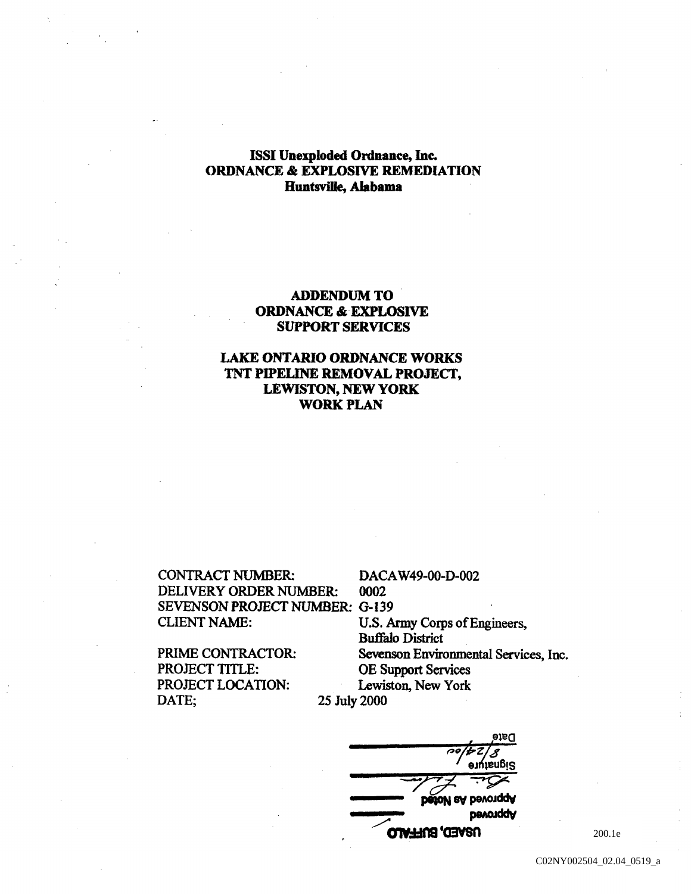# ISSI Unexploded Ordnance, Inc. **ORDNANCE & EXPLOSIVE REMEDIATION** Huntsville, Alabama

# **ADDENDUM TO ORDNANCE & EXPLOSIVE SUPPORT SERVICES**

# **LAKE ONTARIO ORDNANCE WORKS** TNT PIPELINE REMOVAL PROJECT, **LEWISTON, NEW YORK WORK PLAN**

**CONTRACT NUMBER:** DELIVERY ORDER NUMBER: **SEVENSON PROJECT NUMBER: G-139 CLIENT NAME:** 

PRIME CONTRACTOR: PROJECT TITLE: PROJECT LOCATION: DATE;

DACAW49-00-D-002 0002 U.S. Army Corps of Engineers, **Buffalo District** Sevenson Environmental Services, Inc. **OE Support Services** Lewiston, New York

25 July 2000

הפוכ ອານຸນຣຸກຍູ **Approved As Noted** pevouddy **USAED, BUFFALO** 

200.1e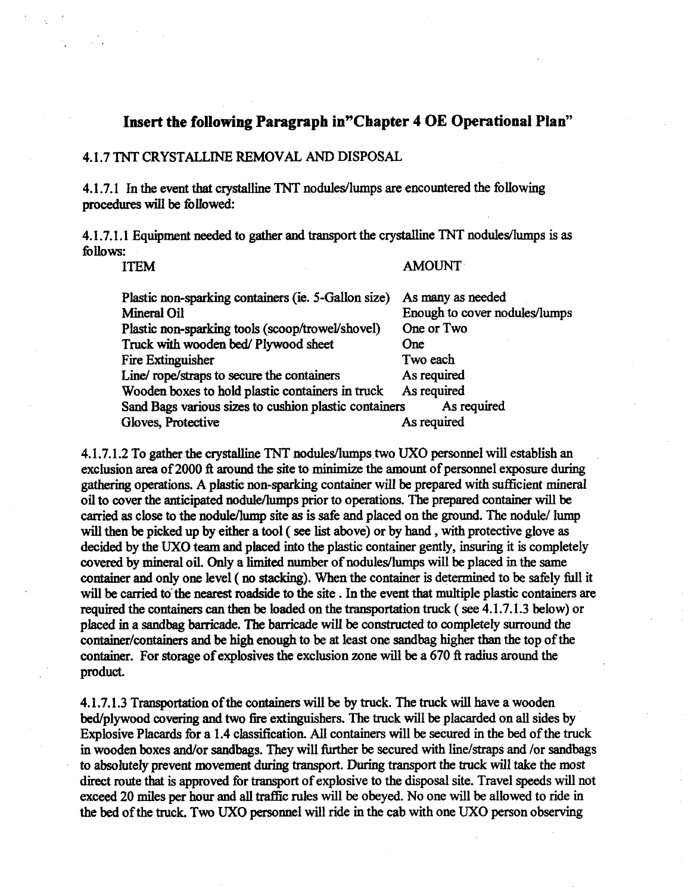# Insert the following Paragraph in"Chapter 4 OE Operational Plan"

### 4.1.7 TNT CRYSTALLINE REMOVAL AND DISPOSAL

4.1.7.1 In the event that crystalline TNT nodules/lumps are encountered the following procedures will be followed

4.1.7.1.1 Equipment needed to gather and transport the crystalline TNT nodules/lumps is as follows:

#### ITEM AMOUNT

| Plastic non-sparking containers (ie. 5-Gallon size)<br><b>Mineral Oil</b><br>Plastic non-sparking tools (scoop/trowel/shovel)<br>Truck with wooden bed/ Plywood sheet | As many as needed<br>Enough to cover nodules/lumps<br>One or Two<br>One |
|-----------------------------------------------------------------------------------------------------------------------------------------------------------------------|-------------------------------------------------------------------------|
| Fire Extinguisher                                                                                                                                                     | Two each                                                                |
| Line/rope/straps to secure the containers                                                                                                                             | As required                                                             |
| Wooden boxes to hold plastic containers in truck                                                                                                                      | As required                                                             |
| Sand Bags various sizes to cushion plastic containers                                                                                                                 | As required                                                             |
| Gloves, Protective                                                                                                                                                    | As required                                                             |

4.1.7.1.2 To gather the crystalline TNT nodules/lumps two UXO personnel will establish an exclusion area of <sup>2000</sup> ft around the site to minimize the amount of personnel exposure during gathering operations. A plastic non-sparking container will be prepared with sufficient mineral oil to cover the anticipated nodule/lumps prior to operations The prepared container will be carried as close to the nodule/lump site as is safe and placed on the ground. The nodule/lump will then be picked up by either a tool (see list above) or by hand, with protective glove as decided by the UXO team and placed into the plastic container gently, insuring it is completely covered by mineral oil. Only a limited number of nodules/lumps will be placed in the same container and only one level (no stacking). When the container is determined to be safely full it will be carried to the nearest roadside to the site. In the event that multiple plastic containers are required the containers can then be loaded on the transportation truck (see  $4.1.7.1.3$  below) or placed in sandbag barricade The barricade will be constructed to completely surround the container/containers and be high enough to be at least one sandbag higher than the top of the container. For storage of explosives the exclusion zone will be a  $670$  ft radius around the product

4.1.7.1.3 Transportation of the containers will be by truck. The truck will have a wooden bed/plywood covering and two fire xtinguishers The truck will be placarded on all sides by Explosive Placards for 1.4 classification. All containers will be secured in the bed of the truck in wooden boxes and/or sandbags. They will further be secured with line/straps and /or sandbags to absolutely prevent movement during transport During transport the truck will take the most direct route that is approved for transport of explosive to the disposal site. Travel speeds will not exceed 20 miles per hour and all traffic rules will be obeyed. No one will be allowed to ride in the bed of the truck. Two UXO personnel will ride in the cab with one UXO person observing